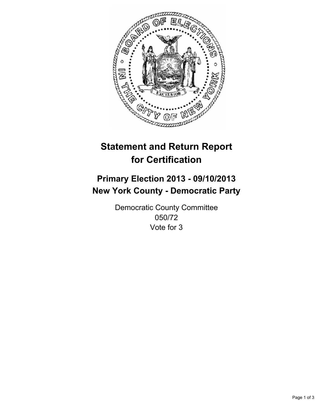

# **Statement and Return Report for Certification**

## **Primary Election 2013 - 09/10/2013 New York County - Democratic Party**

Democratic County Committee 050/72 Vote for 3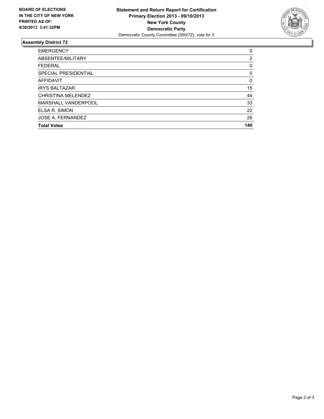

#### **Assembly District 72**

| <b>EMERGENCY</b>          | 0   |
|---------------------------|-----|
| ABSENTEE/MILITARY         | 2   |
| <b>FEDERAL</b>            | 0   |
| SPECIAL PRESIDENTIAL      | 0   |
| AFFIDAVIT                 | 0   |
| <b>IRYS BALTAZAR</b>      | 15  |
| <b>CHRISTINA MELENDEZ</b> | 44  |
| MARSHALL VANDERPOOL       | 33  |
| ELSA R. SIMON             | 22  |
| JOSE A. FERNANDEZ         | 26  |
| <b>Total Votes</b>        | 140 |